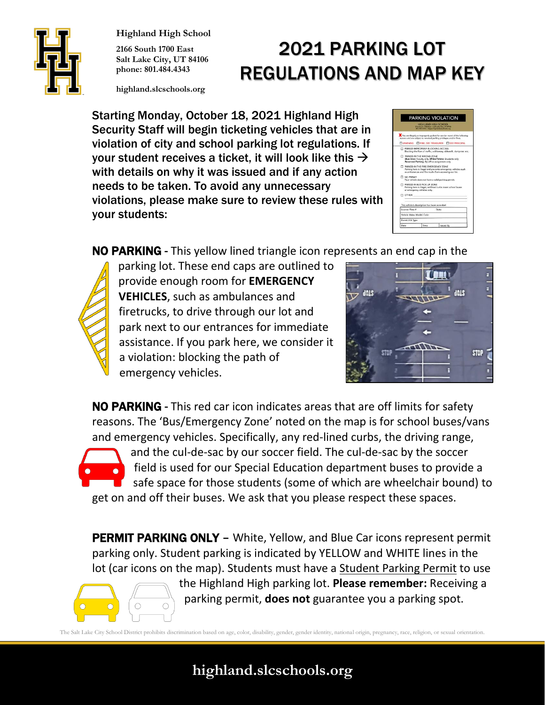

**Highland High School**

**2166 South 1700 East Salt Lake City, UT 84106 phone: 801.484.4343**

# 2021 PARKING LOT REGULATIONS AND MAP KEY

**highland.slcschools.org**

Starting Monday, October 18, 2021 Highland High Security Staff will begin ticketing vehicles that are in violation of city and school parking lot regulations. If your student receives a ticket, it will look like this  $\rightarrow$ with details on why it was issued and if any action needs to be taken. To avoid any unnecessary violations, please make sure to review these rules with your students:

|                                                                      | HIGHLAND HIGH SCHOOL<br>T165 South 1700 East 1 Salt Lake City, UT 84100<br>001.464.4343   Highlighland strafvold.org                |       |                                                                           |
|----------------------------------------------------------------------|-------------------------------------------------------------------------------------------------------------------------------------|-------|---------------------------------------------------------------------------|
| reasons and are subject to revolved parking privileges and/or fines. |                                                                                                                                     |       | You are illegally ar improperly parked for one (or more) of the following |
| <b>TI WARNING</b>                                                    |                                                                                                                                     |       | FINE, SEE TREASURER SEE PRINCIPAL                                         |
|                                                                      | <b>FI PARKED IMPROPERLY BLOCKING ACCESS</b>                                                                                         |       | Blocking the flow of traffic, a driveway, sidewalk, dumpster, etc.        |
|                                                                      | FT PARKED IN THE WRONG ZONE<br>Blue lines: Faculty only, White/Yellow: Students only<br>Reserved Parking: By office assignment only |       |                                                                           |
|                                                                      | T PARKED IN THE FIRE/EMERGENCY ZONE<br>as ambulances and fire trucks from accessing our lot.                                        |       | Parking here is Illegal and prevents emergency vehicles such              |
| I NO PERMIT                                                          | Your vehicle does not have a valid parking permit.                                                                                  |       |                                                                           |
|                                                                      | 7 PARKED IN BUS PICK-UP ZONE<br>or emergency vehicles only.                                                                         |       | Parking here is (legal, red lined curbs mean school buses)                |
| <b>ITI OTHER:</b>                                                    |                                                                                                                                     |       |                                                                           |
|                                                                      | This vehicle's description has been recorded:                                                                                       |       |                                                                           |
| License Plate #                                                      |                                                                                                                                     | State |                                                                           |
| Vehicle Make, Model, Color                                           |                                                                                                                                     |       |                                                                           |
| Permit # & Type                                                      |                                                                                                                                     |       |                                                                           |
|                                                                      |                                                                                                                                     |       |                                                                           |

NO PARKING - This yellow lined triangle icon represents an end cap in the



parking lot. These end caps are outlined to provide enough room for **EMERGENCY VEHICLES**, such as ambulances and firetrucks, to drive through our lot and park next to our entrances for immediate assistance. If you park here, we consider it a violation: blocking the path of emergency vehicles.



NO PARKING - This red car icon indicates areas that are off limits for safety reasons. The 'Bus/Emergency Zone' noted on the map is for school buses/vans and emergency vehicles. Specifically, any red-lined curbs, the driving range,

and the cul-de-sac by our soccer field. The cul-de-sac by the soccer field is used for our Special Education department buses to provide a safe space for those students (some of which are wheelchair bound) to get on and off their buses. We ask that you please respect these spaces.

**PERMIT PARKING ONLY** – White, Yellow, and Blue Car icons represent permit parking only. Student parking is indicated by YELLOW and WHITE lines in the lot (car icons on the map). Students must have a Student Parking Permit to use



the Highland High parking lot. **Please remember:** Receiving a parking permit, **does not** guarantee you a parking spot.

The Salt Lake City School District prohibits discrimination based on age, color, disability, gender, gender identity, national origin, pregnancy, race, religion, or sexual orientation.

### **highland.slcschools.org**